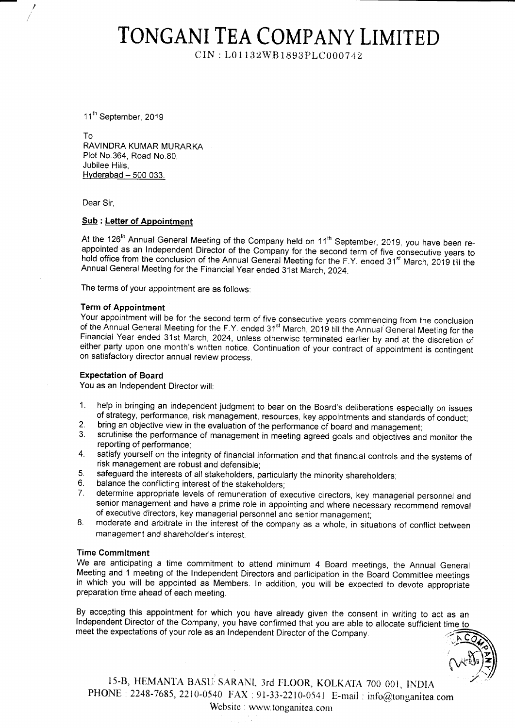# TONGANI TEA COMPANY LIMITED

 $CIN: L01132WB1893PLC000742$ 

11<sup>th</sup> September, 2019

To RAVINDRA KUMAR MURARKA Plot No.364, Road No.80, Jubilee Hills,  $Hyderabad - 500$  033.

Dear Sir,

## Sub : Letter of Appointment

At the 126<sup>th</sup> Annual General Meeting of the Company held on 11<sup>th</sup> September, 2019, you have been re-<br>appointed as an Independent Director of the Company for the second term of five consecutive years to<br>hold office from

The terms of your appointment are as follows:

#### Term of Appointment

Your appointment will be for the second term of five consecutive years commencing from the conclusion<br>of the Annual General Meeting for the F.Y. ended 31<sup>st</sup> March, 2019 till the Annual General Meeting for the Financial Year ended 31st March, 2024, unless otherwise terminated earlier by and at the discretion of either party upon one month's written notice. Continuation of your contract of appointment is contingent on satisfactory director annual review process.

#### Expectation of Board

You as an lndependent Director will:

- help in bringing an independent judgment to bear on the Board's deliberations especially on issues of strategy, performance, risk management, resources, key appointments and standards of conduct; 1.
- bring an objective view in the evaluation of the performance of board and management; 2.
- scrutinise the performance of management in meeting agreed goals and objectives and monitor the reporting of performance; 3.
- satisfy yourself on the integrity of financial information and that financial controls and the systems of risk management are robust and defensible; 4.
- safeguard the interests of all stakeholders, particularly the minority shareholders; 5.
- balance the conflicting interest of the stakeholders, 6.
- determine appropriate levels of remuneration of executive directors, key managerial personnel and senior management and have a prime role in appointing and where necessary recommend removal of executive directors, key managerial personnel and senior management; 7.
- moderate and arbitrate in the interest of the company as a whole, in situations of conflict between management and shareholder's interest. 8

## Time Commitment

We are anticipating a time commitment to attend minimum 4 Board meetings, the Annual General Meeting and 1 meeting of the Independent Directors and participation in the Board Committee meetings in which you will be appointed as Members. In addition, you will be expected to devote appropriate preparation time ahead of each meeting.

By accepting this appointment for which you have already given the consent in writing to act as an lndependent Director of the Company, you have confirmed that you are able to allocate sufficient time to meet the expectations of your role as an lndependent Director of the company.

, N+Da)

15-B, HEMANTA BASU SARANI, 3rd FLOOR, KOLKATA 700 001, INDIA PHONE : 2248-7685, 2210-0540 FAX : 91-33-2210-0541 E-mail : info@tonganitea.com Website : www.tonganitea.com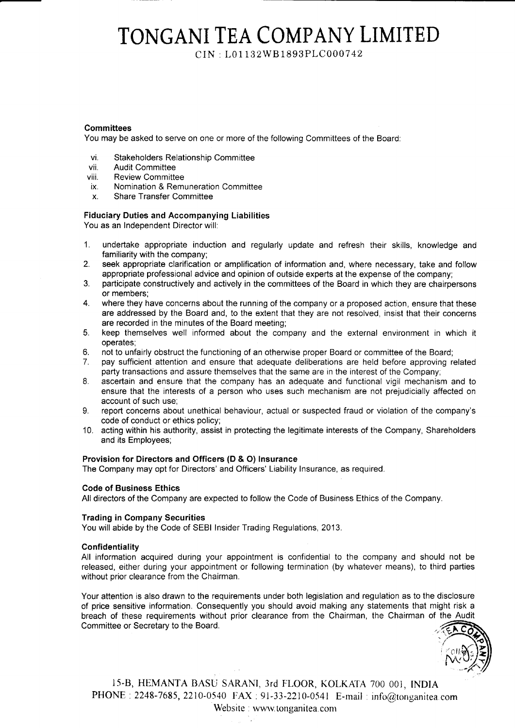# TONGANI TEA COMPANY LIMITED

CIN : L01 i 3zWB 1893PLC 0007 42

## **Committees**

You may be asked to serve on one or more of the following Committees of the Board

- vi. Stakeholders Relationship Committee
- vii. Audit Committee
- viii. Review Committee
- ix. Nomination & Remuneration Committee
- x. Share Transfer Committee

## Fiduciary Duties and Accompanying Liabilities

You as an Independent Director will:

- 1. undertake appiopriate induction and regularly update and refresh their skills, knowledge and familiarity with the company;
- 2. seek appropriate clarification or amplification of information and, where necessary, take and follow appropriate professional advice and opinion of outside experts at the expense of the company;
- 3. participate constructively and actively in the committees of the Board in which they are chairpersons or members;
- 4. where they have concerns about the running of the company or a proposed action, ensure that these are addressed by the Board and, to the extent that they are not resolved, insist that their concerns are recorded in the minutes of the Board meeting;
- 5. keep themselves well informed about the company and the external environment in which it operates;
- 6. not to unfairly obstruct the functioning of an otheruvise proper Board or committee of the Board;
- 7. pay sufficient attention and ensure that adequate deliberations are held before approving related party transactions and assure themselves that the same are in the interest of the Company;
- 8. ascertain and ensure that the company has an adequate and functional vigil mechanism and to ensure that the interests of a person who uses such mechanism are not prejudicially affected on account of such use;
- 9. report concerns about unethical behaviour, actual or suspected fraud or violation of the company's code of conduct or ethics policy;
- 10. acting within his authority, assist in protecting the legitimate interests of the Company, Shareholders and its Employees;

## Provision for Directors and Officers (D & O) lnsurance

The Company may opt for Directors' and Officers' Liability lnsurance, as required.

## Code of Business Ethics

All directors of the Company are expected to follow the Code of Business Ethics of the Company

# Trading in Company Securities

You will abide by the Code of SEBI Insider Trading Regulations, 2013.

## Confidentiality

All information acquired during your appointment is confidential to the company and should not be released, either during your appointment or following termination (by whatever means), to third parties without prior clearance from the Chairman.

Your attention is also drawn to the requirements under both legislation and regulation as to the disclosure of price sensitive information. Consequently you should avoid making any statements that might risk a breach of these requirements without prior clearance from the Chairman, the Chairman of the Audit Committee or Secretary to the Board



15-B, HEMANTA BASU SARANI, 3rd FLOOR, KOLKATA 700 001, INDIA PHONE : 2248-7685, 2210-0540 FAX : 91-33-2210-0541 E-mail : info@tonganitea.com Website : www.tonganitea.com